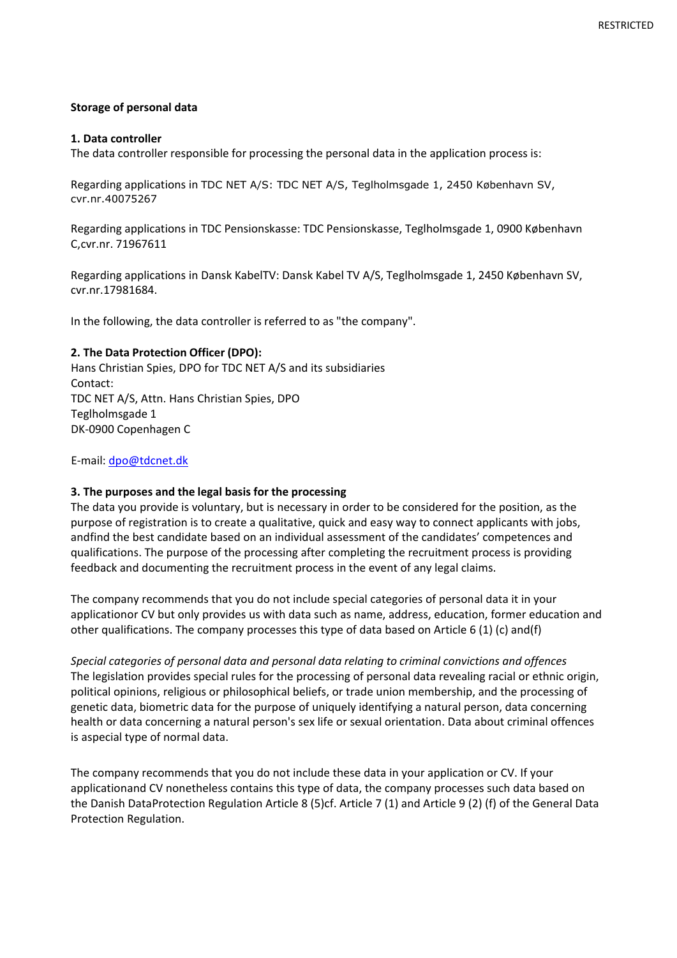# **Storage of personal data**

### **1. Data controller**

The data controller responsible for processing the personal data in the application process is:

Regarding applications in TDC NET A/S: TDC NET A/S, Teglholmsgade 1, 2450 København SV, cvr.nr. 40075267

Regarding applications in TDC Pensionskasse: TDC Pensionskasse, Teglholmsgade 1, 0900 København C,cvr.nr. 71967611

Regarding applications in Dansk KabelTV: Dansk Kabel TV A/S, Teglholmsgade 1, 2450 København SV, cvr.nr.17981684.

In the following, the data controller is referred to as "the company".

### **2. The Data Protection Officer (DPO):**

Hans Christian Spies, DPO for TDC NET A/S and its subsidiaries Contact: TDC NET A/S, Attn. Hans Christian Spies, DPO Teglholmsgade 1 DK‐0900 Copenhagen C

E-mail: dpo@tdcnet.dk

# **3. The purposes and the legal basis for the processing**

The data you provide is voluntary, but is necessary in order to be considered for the position, as the purpose of registration is to create a qualitative, quick and easy way to connect applicants with jobs, andfind the best candidate based on an individual assessment of the candidates' competences and qualifications. The purpose of the processing after completing the recruitment process is providing feedback and documenting the recruitment process in the event of any legal claims.

The company recommends that you do not include special categories of personal data it in your applicationor CV but only provides us with data such as name, address, education, former education and other qualifications. The company processes this type of data based on Article 6 (1) (c) and(f)

*Special categories of personal data and personal data relating to criminal convictions and offences* The legislation provides special rules for the processing of personal data revealing racial or ethnic origin, political opinions, religious or philosophical beliefs, or trade union membership, and the processing of genetic data, biometric data for the purpose of uniquely identifying a natural person, data concerning health or data concerning a natural person's sex life or sexual orientation. Data about criminal offences is aspecial type of normal data.

The company recommends that you do not include these data in your application or CV. If your applicationand CV nonetheless contains this type of data, the company processes such data based on the Danish DataProtection Regulation Article 8 (5)cf. Article 7 (1) and Article 9 (2) (f) of the General Data Protection Regulation.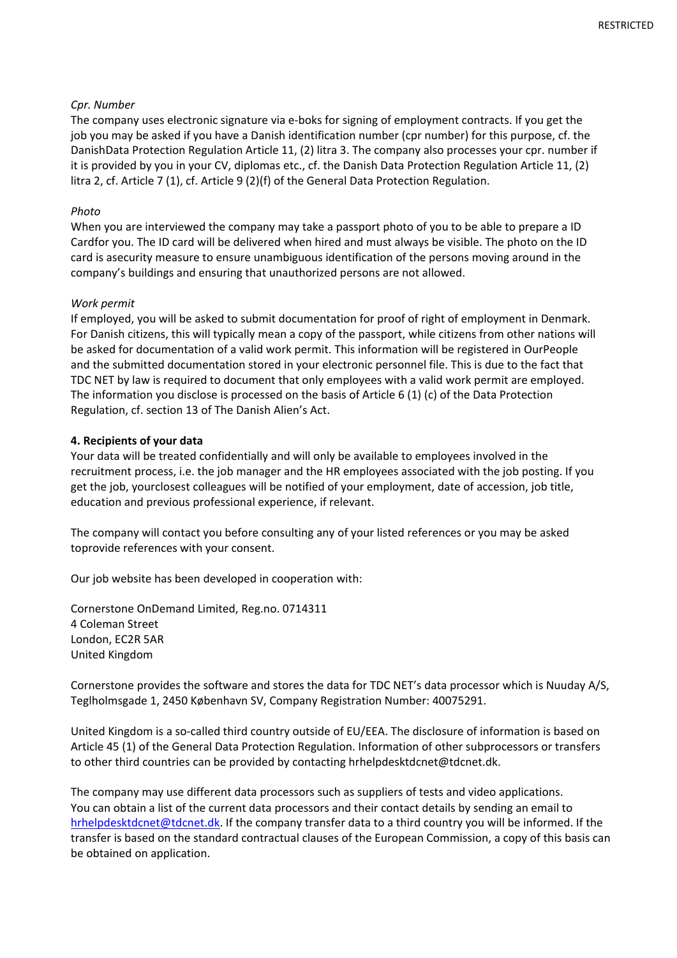## *Cpr. Number*

The company uses electronic signature via e-boks for signing of employment contracts. If you get the job you may be asked if you have a Danish identification number (cpr number) for this purpose, cf. the DanishData Protection Regulation Article 11, (2) litra 3. The company also processes your cpr. number if it is provided by you in your CV, diplomas etc., cf. the Danish Data Protection Regulation Article 11, (2) litra 2, cf. Article 7 (1), cf. Article 9 (2)(f) of the General Data Protection Regulation.

## *Photo*

When you are interviewed the company may take a passport photo of you to be able to prepare a ID Cardfor you. The ID card will be delivered when hired and must always be visible. The photo on the ID card is asecurity measure to ensure unambiguous identification of the persons moving around in the company's buildings and ensuring that unauthorized persons are not allowed.

#### *Work permit*

If employed, you will be asked to submit documentation for proof of right of employment in Denmark. For Danish citizens, this will typically mean a copy of the passport, while citizens from other nations will be asked for documentation of a valid work permit. This information will be registered in OurPeople and the submitted documentation stored in your electronic personnel file. This is due to the fact that TDC NET by law is required to document that only employees with a valid work permit are employed. The information you disclose is processed on the basis of Article 6 (1) (c) of the Data Protection Regulation, cf. section 13 of The Danish Alien's Act.

### **4. Recipients of your data**

Your data will be treated confidentially and will only be available to employees involved in the recruitment process, i.e. the job manager and the HR employees associated with the job posting. If you get the job, yourclosest colleagues will be notified of your employment, date of accession, job title, education and previous professional experience, if relevant.

The company will contact you before consulting any of your listed references or you may be asked toprovide references with your consent.

Our job website has been developed in cooperation with:

Cornerstone OnDemand Limited, Reg.no. 0714311 4 Coleman Street London, EC2R 5AR United Kingdom

Cornerstone provides the software and stores the data for TDC NET's data processor which is Nuuday A/S, Teglholmsgade 1, 2450 København SV, Company Registration Number: 40075291.

United Kingdom is a so-called third country outside of EU/EEA. The disclosure of information is based on Article 45 (1) of the General Data Protection Regulation. Information of other subprocessors or transfers to other third countries can be provided by contacting hrhelpdesktdcnet@tdcnet.dk.

The company may use different data processors such as suppliers of tests and video applications. You can obtain a list of the current data processors and their contact details by sending an email to hrhelpdesktdcnet@tdcnet.dk. If the company transfer data to a third country you will be informed. If the transfer is based on the standard contractual clauses of the European Commission, a copy of this basis can be obtained on application.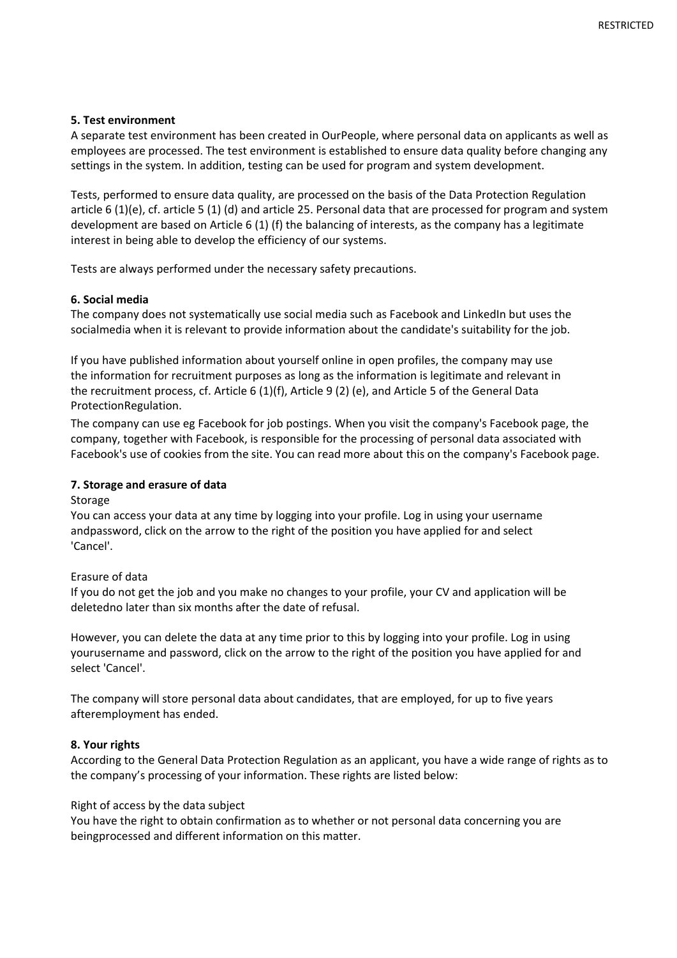# **5. Test environment**

A separate test environment has been created in OurPeople, where personal data on applicants as well as employees are processed. The test environment is established to ensure data quality before changing any settings in the system. In addition, testing can be used for program and system development.

Tests, performed to ensure data quality, are processed on the basis of the Data Protection Regulation article 6 (1)(e), cf. article 5 (1) (d) and article 25. Personal data that are processed for program and system development are based on Article 6 (1) (f) the balancing of interests, as the company has a legitimate interest in being able to develop the efficiency of our systems.

Tests are always performed under the necessary safety precautions.

# **6. Social media**

The company does not systematically use social media such as Facebook and LinkedIn but uses the socialmedia when it is relevant to provide information about the candidate's suitability for the job.

If you have published information about yourself online in open profiles, the company may use the information for recruitment purposes as long as the information is legitimate and relevant in the recruitment process, cf. Article 6 (1)(f), Article 9 (2) (e), and Article 5 of the General Data ProtectionRegulation.

The company can use eg Facebook for job postings. When you visit the company's Facebook page, the company, together with Facebook, is responsible for the processing of personal data associated with Facebook's use of cookies from the site. You can read more about this on the company's Facebook page.

# **7. Storage and erasure of data**

Storage

You can access your data at any time by logging into your profile. Log in using your username andpassword, click on the arrow to the right of the position you have applied for and select 'Cancel'.

# Erasure of data

If you do not get the job and you make no changes to your profile, your CV and application will be deletedno later than six months after the date of refusal.

However, you can delete the data at any time prior to this by logging into your profile. Log in using yourusername and password, click on the arrow to the right of the position you have applied for and select 'Cancel'.

The company will store personal data about candidates, that are employed, for up to five years afteremployment has ended.

# **8. Your rights**

According to the General Data Protection Regulation as an applicant, you have a wide range of rights as to the company's processing of your information. These rights are listed below:

# Right of access by the data subject

You have the right to obtain confirmation as to whether or not personal data concerning you are beingprocessed and different information on this matter.